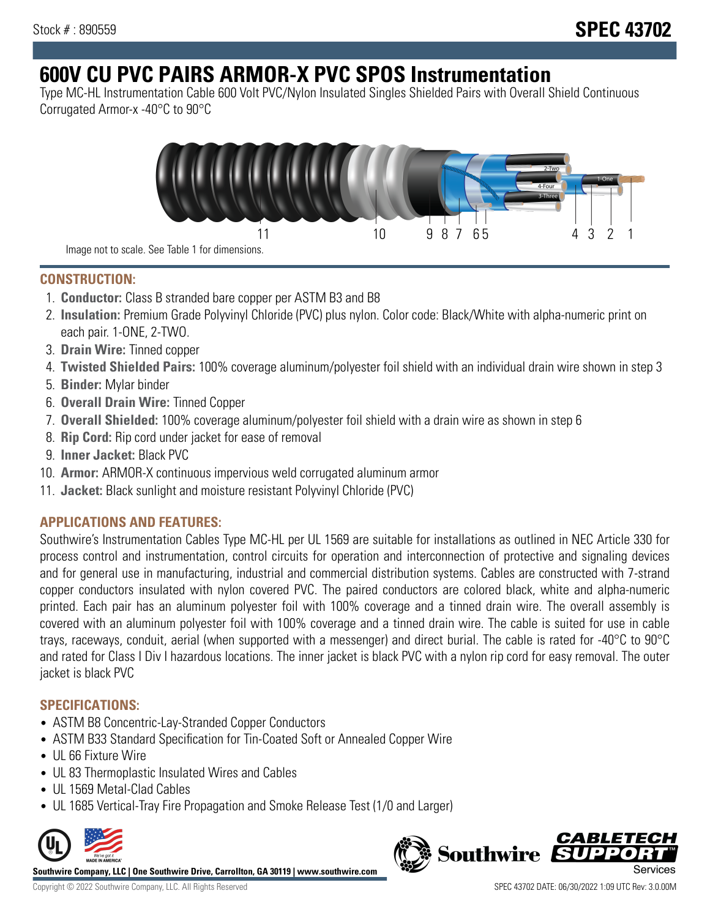# **600V CU PVC PAIRS ARMOR-X PVC SPOS Instrumentation**

Type MC-HL Instrumentation Cable 600 Volt PVC/Nylon Insulated Singles Shielded Pairs with Overall Shield Continuous Corrugated Armor-x -40°C to 90°C



**CONSTRUCTION:**

- 1. **Conductor:** Class B stranded bare copper per ASTM B3 and B8
- 2. **Insulation:** Premium Grade Polyvinyl Chloride (PVC) plus nylon. Color code: Black/White with alpha-numeric print on each pair. 1-ONE, 2-TWO.
- 3. **Drain Wire:** Tinned copper
- 4. **Twisted Shielded Pairs:** 100% coverage aluminum/polyester foil shield with an individual drain wire shown in step 3
- 5. **Binder:** Mylar binder
- 6. **Overall Drain Wire:** Tinned Copper
- 7. **Overall Shielded:** 100% coverage aluminum/polyester foil shield with a drain wire as shown in step 6
- 8. **Rip Cord:** Rip cord under jacket for ease of removal
- 9. **Inner Jacket:** Black PVC
- 10. **Armor:** ARMOR-X continuous impervious weld corrugated aluminum armor
- 11. **Jacket:** Black sunlight and moisture resistant Polyvinyl Chloride (PVC)

# **APPLICATIONS AND FEATURES:**

Southwire's Instrumentation Cables Type MC-HL per UL 1569 are suitable for installations as outlined in NEC Article 330 for process control and instrumentation, control circuits for operation and interconnection of protective and signaling devices and for general use in manufacturing, industrial and commercial distribution systems. Cables are constructed with 7-strand copper conductors insulated with nylon covered PVC. The paired conductors are colored black, white and alpha-numeric printed. Each pair has an aluminum polyester foil with 100% coverage and a tinned drain wire. The overall assembly is covered with an aluminum polyester foil with 100% coverage and a tinned drain wire. The cable is suited for use in cable trays, raceways, conduit, aerial (when supported with a messenger) and direct burial. The cable is rated for -40°C to 90°C and rated for Class I Div I hazardous locations. The inner jacket is black PVC with a nylon rip cord for easy removal. The outer jacket is black PVC

## **SPECIFICATIONS:**

- ASTM B8 Concentric-Lay-Stranded Copper Conductors
- ASTM B33 Standard Specification for Tin-Coated Soft or Annealed Copper Wire
- UL 66 Fixture Wire
- UL 83 Thermoplastic Insulated Wires and Cables
- UL 1569 Metal-Clad Cables
- UL 1685 Vertical-Tray Fire Propagation and Smoke Release Test (1/0 and Larger)



**Southwire Company, LLC | One Southwire Drive, Carrollton, GA 30119 | www.southwire.com**